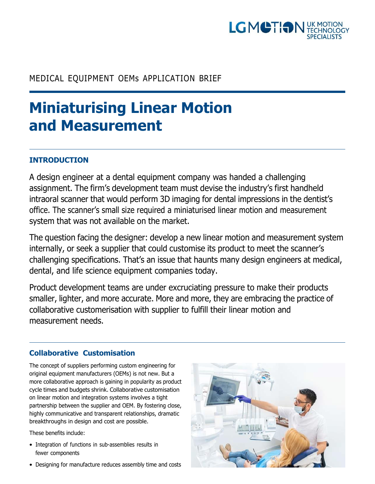

# MEDICAL EQUIPMENT OEMs APPLICATION BRIEF

# **Miniaturising Linear Motion and Measurement**

# **INTRODUCTION**

A design engineer at a dental equipment company was handed a challenging assignment. The firm's development team must devise the industry's first handheld intraoral scanner that would perform 3D imaging for dental impressions in the dentist's office. The scanner's small size required a miniaturised linear motion and measurement system that was not available on the market.

The question facing the designer: develop a new linear motion and measurement system internally, or seek a supplier that could customise its product to meet the scanner's challenging specifications. That's an issue that haunts many design engineers at medical, dental, and life science equipment companies today.

Product development teams are under excruciating pressure to make their products smaller, lighter, and more accurate. More and more, they are embracing the practice of collaborative customerisation with supplier to fulfill their linear motion and measurement needs.

## **Collaborative Customisation**

The concept of suppliers performing custom engineering for original equipment manufacturers (OEMs) is not new. But a more collaborative approach is gaining in popularity as product cycle times and budgets shrink. Collaborative customisation on linear motion and integration systems involves a tight partnership between the supplier and OEM. By fostering close, highly communicative and transparent relationships, dramatic breakthroughs in design and cost are possible.

These benefits include:

- Integration of functions in sub-assemblies results in fewer components
- Designing for manufacture reduces assembly time and costs

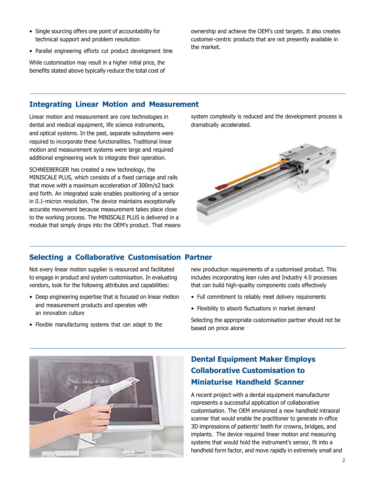- Single sourcing offers one point of accountability for technical support and problem resolution
- Parallel engineering efforts cut product development time

While customisation may result in a higher initial price, the benefits stated above typically reduce the total cost of ownership and achieve the OEM's cost targets. It also creates customer-centric products that are not presently available in the market.

#### **Integrating Linear Motion and Measurement**

Linear motion and measurement are core technologies in dental and medical equipment, life science instruments, and optical systems. In the past, separate subsystems were required to incorporate these functionalities. Traditional linear motion and measurement systems were large and required additional engineering work to integrate their operation.

SCHNEEBERGER has created a new technology, the MINISCALE PLUS, which consists of a fixed carriage and rails that move with a maximum acceleration of 300m/s2 back and forth. An integrated scale enables positioning of a sensor in 0.1-micron resolution. The device maintains exceptionally accurate movement because measurement takes place close to the working process. The MINISCALE PLUS is delivered in a module that simply drops into the OEM's product. That means system complexity is reduced and the development process is dramatically accelerated.



### **Selecting a Collaborative Customisation Partner**

Not every linear motion supplier is resourced and facilitated to engage in product and system customisation. In evaluating vendors, look for the following attributes and capabilities:

- Deep engineering expertise that is focused on linear motion and measurement products and operates with an innovation culture
- Flexible manufacturing systems that can adapt to the

new production requirements of a customised product. This includes incorporating lean rules and Industry 4.0 processes that can build high-quality components costs effectively

- Full commitment to reliably meet delivery requirements
- Flexibility to absorb fluctuations in market demand

Selecting the appropriate customisation partner should not be based on price alone



# **Dental Equipment Maker Employs Collaborative Customisation to Miniaturise Handheld Scanner**

A recent project with a dental equipment manufacturer represents a successful application of collaborative customisation. The OEM envisioned a new handheld intraoral scanner that would enable the practitioner to generate in-office 3D impressions of patients' teeth for crowns, bridges, and implants. The device required linear motion and measuring systems that would hold the instrument's sensor, fit into a handheld form factor, and move rapidly in extremely small and